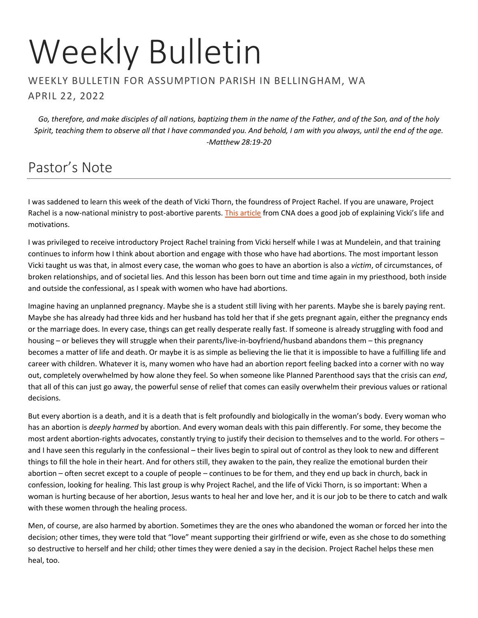# Weekly Bulletin

#### WEEKLY BULLETIN FOR ASSUMPTION PARISH IN BELLINGHAM, WA APRIL 22, 2022

*Go, therefore, and make disciples of all nations, baptizing them in the name of the Father, and of the Son, and of the holy Spirit, teaching them to observe all that I have commanded you. And behold, I am with you always, until the end of the age. -Matthew 28:19-20*

# Pastor's Note

I was saddened to learn this week of the death of Vicki Thorn, the foundress of Project Rachel. If you are unaware, Project Rachel is a now-national ministry to post-abortive parents. [This article](https://www.catholicnewsagency.com/news/251025/vicki-thorn-pro-life-project-rachel-abortion-healing) from CNA does a good job of explaining Vicki's life and motivations.

I was privileged to receive introductory Project Rachel training from Vicki herself while I was at Mundelein, and that training continues to inform how I think about abortion and engage with those who have had abortions. The most important lesson Vicki taught us was that, in almost every case, the woman who goes to have an abortion is also a *victim*, of circumstances, of broken relationships, and of societal lies. And this lesson has been born out time and time again in my priesthood, both inside and outside the confessional, as I speak with women who have had abortions.

Imagine having an unplanned pregnancy. Maybe she is a student still living with her parents. Maybe she is barely paying rent. Maybe she has already had three kids and her husband has told her that if she gets pregnant again, either the pregnancy ends or the marriage does. In every case, things can get really desperate really fast. If someone is already struggling with food and housing – or believes they will struggle when their parents/live-in-boyfriend/husband abandons them – this pregnancy becomes a matter of life and death. Or maybe it is as simple as believing the lie that it is impossible to have a fulfilling life and career with children. Whatever it is, many women who have had an abortion report feeling backed into a corner with no way out, completely overwhelmed by how alone they feel. So when someone like Planned Parenthood says that the crisis can *end*, that all of this can just go away, the powerful sense of relief that comes can easily overwhelm their previous values or rational decisions.

But every abortion is a death, and it is a death that is felt profoundly and biologically in the woman's body. Every woman who has an abortion is *deeply harmed* by abortion. And every woman deals with this pain differently. For some, they become the most ardent abortion-rights advocates, constantly trying to justify their decision to themselves and to the world. For others – and I have seen this regularly in the confessional – their lives begin to spiral out of control as they look to new and different things to fill the hole in their heart. And for others still, they awaken to the pain, they realize the emotional burden their abortion – often secret except to a couple of people – continues to be for them, and they end up back in church, back in confession, looking for healing. This last group is why Project Rachel, and the life of Vicki Thorn, is so important: When a woman is hurting because of her abortion, Jesus wants to heal her and love her, and it is our job to be there to catch and walk with these women through the healing process.

Men, of course, are also harmed by abortion. Sometimes they are the ones who abandoned the woman or forced her into the decision; other times, they were told that "love" meant supporting their girlfriend or wife, even as she chose to do something so destructive to herself and her child; other times they were denied a say in the decision. Project Rachel helps these men heal, too.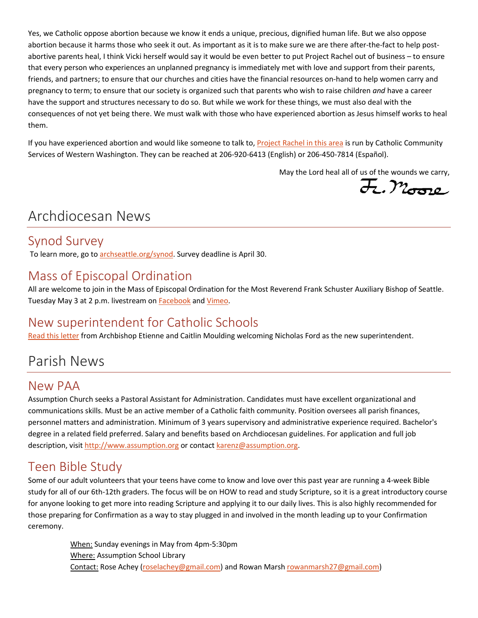Yes, we Catholic oppose abortion because we know it ends a unique, precious, dignified human life. But we also oppose abortion because it harms those who seek it out. As important as it is to make sure we are there after-the-fact to help postabortive parents heal, I think Vicki herself would say it would be even better to put Project Rachel out of business – to ensure that every person who experiences an unplanned pregnancy is immediately met with love and support from their parents, friends, and partners; to ensure that our churches and cities have the financial resources on-hand to help women carry and pregnancy to term; to ensure that our society is organized such that parents who wish to raise children *and* have a career have the support and structures necessary to do so. But while we work for these things, we must also deal with the consequences of not yet being there. We must walk with those who have experienced abortion as Jesus himself works to heal them.

If you have experienced abortion and would like someone to talk to, [Project Rachel in this area](https://ccsww.org/get-help/specialized-services/project-rachel/) is run by Catholic Community Services of Western Washington. They can be reached at 206-920-6413 (English) or 206-450-7814 (Español).

May the Lord heal all of us of the wounds we carry,<br> $\overline{\mathcal{H}}$ ,  $\mathcal{M}_{\text{total}}$ 

# Archdiocesan News

## Synod Survey

To learn more, go t[o archseattle.org/synod.](http://archseattle.org/synod) Survey deadline is April 30.

## Mass of Episcopal Ordination

All are welcome to join in the Mass of Episcopal Ordination for the Most Reverend Frank Schuster Auxiliary Bishop of Seattle. Tuesday May 3 at 2 p.m. livestream on [Facebook](https://www.facebook.com/ArchdioceseofSeattle) and [Vimeo.](https://vimeo.com/event/1972886)

## New superintendent for Catholic Schools

[Read this letter](https://seattlearch.box.com/s/fud258zlkn7wzf7hpfgfh9orszndqpph) from Archbishop Etienne and Caitlin Moulding welcoming Nicholas Ford as the new superintendent.

# Parish News

## New PAA

Assumption Church seeks a Pastoral Assistant for Administration. Candidates must have excellent organizational and communications skills. Must be an active member of a Catholic faith community. Position oversees all parish finances, personnel matters and administration. Minimum of 3 years supervisory and administrative experience required. Bachelor's degree in a related field preferred. Salary and benefits based on Archdiocesan guidelines. For application and full job description, visi[t http://www.assumption.org](http://www.assumption.org/) or contact [karenz@assumption.org.](mailto:karenz@assumption.org)

## Teen Bible Study

Some of our adult volunteers that your teens have come to know and love over this past year are running a 4-week Bible study for all of our 6th-12th graders. The focus will be on HOW to read and study Scripture, so it is a great introductory course for anyone looking to get more into reading Scripture and applying it to our daily lives. This is also highly recommended for those preparing for Confirmation as a way to stay plugged in and involved in the month leading up to your Confirmation ceremony.

> When: Sunday evenings in May from 4pm-5:30pm Where: Assumption School Library Contact: Rose Achey [\(roselachey@gmail.com\)](mailto:roselachey@gmail.com) and Rowan Mars[h rowanmarsh27@gmail.com\)](mailto:rowanmarsh27@gmail.com)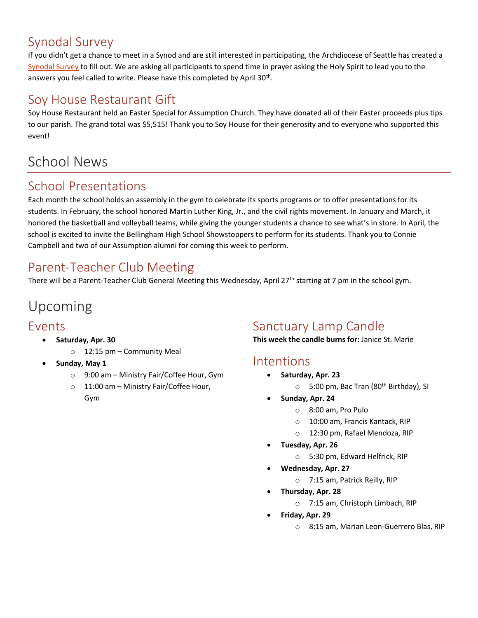# Synodal Survey

If you didn't get a chance to meet in a Synod and are still interested in participating, the Archdiocese of Seattle has created a Synodal Survey to fill out. We are asking all participants to spend time in prayer asking the Holy Spirit to lead you to the answers you feel called to write. Please have this completed by April 30<sup>th</sup>.

## Soy House Restaurant Gift

Soy House Restaurant held an Easter Special for Assumption Church. They have donated all of their Easter proceeds plus tips to our parish. The grand total was \$5,515! Thank you to Soy House for their generosity and to everyone who supported this event!

# School News

## School Presentations

Each month the school holds an assembly in the gym to celebrate its sports programs or to offer presentations for its students. In February, the school honored Martin Luther King, Jr., and the civil rights movement. In January and March, it honored the basketball and volleyball teams, while giving the younger students a chance to see what's in store. In April, the school is excited to invite the Bellingham High School Showstoppers to perform for its students. Thank you to Connie Campbell and two of our Assumption alumni for coming this week to perform.

# Parent-Teacher Club Meeting

There will be a Parent-Teacher Club General Meeting this Wednesday, April 27<sup>th</sup> starting at 7 pm in the school gym.

# Upcoming

#### Events

- **Saturday, Apr. 30**
	- o 12:15 pm Community Meal
- **Sunday, May 1**
	- o 9:00 am Ministry Fair/Coffee Hour, Gym
	- o 11:00 am Ministry Fair/Coffee Hour, Gym

## Sanctuary Lamp Candle

**This week the candle burns for:** Janice St. Marie

#### Intentions

- **Saturday, Apr. 23**
	- $\circ$  5:00 pm, Bac Tran (80<sup>th</sup> Birthday), SI
- **Sunday, Apr. 24**
	- o 8:00 am, Pro Pulo
	- o 10:00 am, Francis Kantack, RIP
	- o 12:30 pm, Rafael Mendoza, RIP
- **Tuesday, Apr. 26**
	- o 5:30 pm, Edward Helfrick, RIP
- **Wednesday, Apr. 27**
	- o 7:15 am, Patrick Reilly, RIP
- **Thursday, Apr. 28**
	- o 7:15 am, Christoph Limbach, RIP
- **Friday, Apr. 29**
	- o 8:15 am, Marian Leon-Guerrero Blas, RIP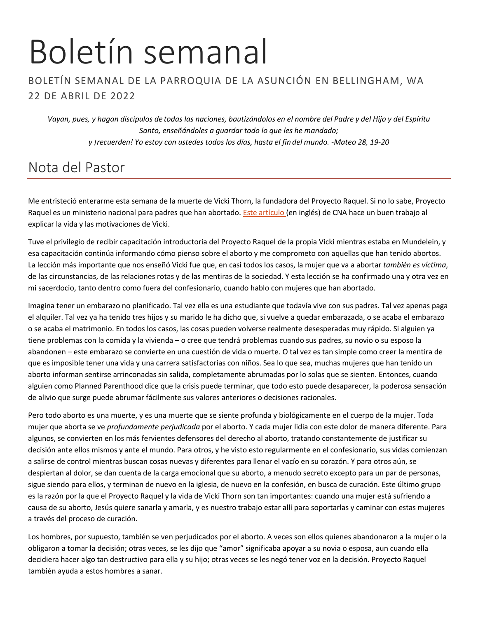# Boletín semanal

#### BOLETÍN SEMANAL DE LA PARROQUIA DE LA ASUNCIÓN EN BELLINGHAM, WA 22 DE ABRIL DE 2022

*Vayan, pues, y hagan discípulos de todas las naciones, bautizándolos en el nombre del Padre y del Hijo y del Espíritu Santo, enseñándoles a guardar todo lo que les he mandado; y ¡recuerden! Yo estoy con ustedes todos los días, hasta el fin del mundo. -Mateo 28, 19-20*

# Nota del Pastor

Me entristeció enterarme esta semana de la muerte de Vicki Thorn, la fundadora del Proyecto Raquel. Si no lo sabe, Proyecto Raquel es un ministerio nacional para padres que han abortado. [Este artículo](https://www.catholicnewsagency.com/news/251025/vicki-thorn-pro-life-project-rachel-abortion-healing) (en inglés) de CNA hace un buen trabajo al explicar la vida y las motivaciones de Vicki.

Tuve el privilegio de recibir capacitación introductoria del Proyecto Raquel de la propia Vicki mientras estaba en Mundelein, y esa capacitación continúa informando cómo pienso sobre el aborto y me comprometo con aquellas que han tenido abortos. La lección más importante que nos enseñó Vicki fue que, en casi todos los casos, la mujer que va a abortar *también es víctima*, de las circunstancias, de las relaciones rotas y de las mentiras de la sociedad. Y esta lección se ha confirmado una y otra vez en mi sacerdocio, tanto dentro como fuera del confesionario, cuando hablo con mujeres que han abortado.

Imagina tener un embarazo no planificado. Tal vez ella es una estudiante que todavía vive con sus padres. Tal vez apenas paga el alquiler. Tal vez ya ha tenido tres hijos y su marido le ha dicho que, si vuelve a quedar embarazada, o se acaba el embarazo o se acaba el matrimonio. En todos los casos, las cosas pueden volverse realmente desesperadas muy rápido. Si alguien ya tiene problemas con la comida y la vivienda – o cree que tendrá problemas cuando sus padres, su novio o su esposo la abandonen – este embarazo se convierte en una cuestión de vida o muerte. O tal vez es tan simple como creer la mentira de que es imposible tener una vida y una carrera satisfactorias con niños. Sea lo que sea, muchas mujeres que han tenido un aborto informan sentirse arrinconadas sin salida, completamente abrumadas por lo solas que se sienten. Entonces, cuando alguien como Planned Parenthood dice que la crisis puede terminar, que todo esto puede desaparecer, la poderosa sensación de alivio que surge puede abrumar fácilmente sus valores anteriores o decisiones racionales.

Pero todo aborto es una muerte, y es una muerte que se siente profunda y biológicamente en el cuerpo de la mujer. Toda mujer que aborta se ve *profundamente perjudicada* por el aborto. Y cada mujer lidia con este dolor de manera diferente. Para algunos, se convierten en los más fervientes defensores del derecho al aborto, tratando constantemente de justificar su decisión ante ellos mismos y ante el mundo. Para otros, y he visto esto regularmente en el confesionario, sus vidas comienzan a salirse de control mientras buscan cosas nuevas y diferentes para llenar el vacío en su corazón. Y para otros aún, se despiertan al dolor, se dan cuenta de la carga emocional que su aborto, a menudo secreto excepto para un par de personas, sigue siendo para ellos, y terminan de nuevo en la iglesia, de nuevo en la confesión, en busca de curación. Este último grupo es la razón por la que el Proyecto Raquel y la vida de Vicki Thorn son tan importantes: cuando una mujer está sufriendo a causa de su aborto, Jesús quiere sanarla y amarla, y es nuestro trabajo estar allí para soportarlas y caminar con estas mujeres a través del proceso de curación.

Los hombres, por supuesto, también se ven perjudicados por el aborto. A veces son ellos quienes abandonaron a la mujer o la obligaron a tomar la decisión; otras veces, se les dijo que "amor" significaba apoyar a su novia o esposa, aun cuando ella decidiera hacer algo tan destructivo para ella y su hijo; otras veces se les negó tener voz en la decisión. Proyecto Raquel también ayuda a estos hombres a sanar.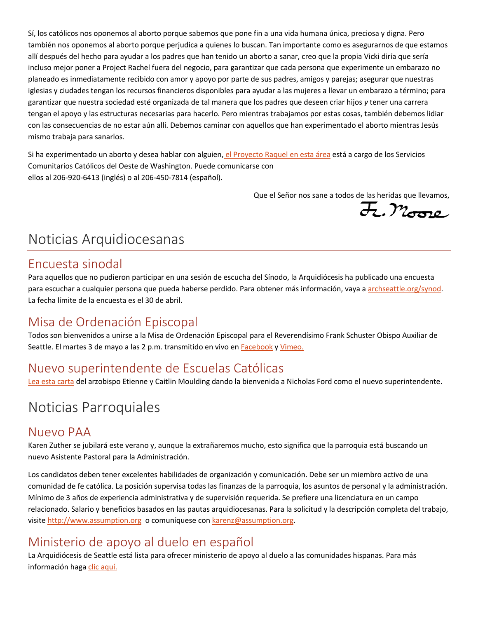Sí, los católicos nos oponemos al aborto porque sabemos que pone fin a una vida humana única, preciosa y digna. Pero también nos oponemos al aborto porque perjudica a quienes lo buscan. Tan importante como es asegurarnos de que estamos allí después del hecho para ayudar a los padres que han tenido un aborto a sanar, creo que la propia Vicki diría que sería incluso mejor poner a Project Rachel fuera del negocio, para garantizar que cada persona que experimente un embarazo no planeado es inmediatamente recibido con amor y apoyo por parte de sus padres, amigos y parejas; asegurar que nuestras iglesias y ciudades tengan los recursos financieros disponibles para ayudar a las mujeres a llevar un embarazo a término; para garantizar que nuestra sociedad esté organizada de tal manera que los padres que deseen criar hijos *y* tener una carrera tengan el apoyo y las estructuras necesarias para hacerlo. Pero mientras trabajamos por estas cosas, también debemos lidiar con las consecuencias de no estar aún allí. Debemos caminar con aquellos que han experimentado el aborto mientras Jesús mismo trabaja para sanarlos.

Si ha experimentado un aborto y desea hablar con alguien, [el Proyecto Raquel en esta área](https://ccsww.org/get-help/specialized-services/project-rachel/) está a cargo de los Servicios Comunitarios Católicos del Oeste de Washington. Puede comunicarse con ellos al 206-920-6413 (inglés) o al 206-450-7814 (español).

Que el Señor nos sane a todos de las heridas que llevamos,

 $E.$ Moro

# Noticias Arquidiocesanas

#### Encuesta sinodal

Para aquellos que no pudieron participar en una sesión de escucha del Sínodo, la Arquidiócesis ha publicado una encuesta para escuchar a cualquier persona que pueda haberse perdido. Para obtener más información, vaya a [archseattle.org/synod.](https://43.selectsurvey.net/SeattleArchdiocese/TakeSurvey.aspx?SurveyID=86MK3n8) La fecha límite de la encuesta es el 30 de abril.

## Misa de Ordenación Episcopal

Todos son bienvenidos a unirse a la Misa de Ordenación Episcopal para el Reverendísimo Frank Schuster Obispo Auxiliar de Seattle. El martes 3 de mayo a las 2 p.m. transmitido en vivo e[n Facebook](https://www.facebook.com/ArchdioceseofSeattle) y [Vimeo.](https://vimeo.com/event/1972886)

## Nuevo superintendente de Escuelas Católicas

[Lea esta carta](https://seattlearch.app.box.com/s/fud258zlkn7wzf7hpfgfh9orszndqpph) del arzobispo Etienne y Caitlin Moulding dando la bienvenida a Nicholas Ford como el nuevo superintendente.

# Noticias Parroquiales

#### Nuevo PAA

Karen Zuther se jubilará este verano y, aunque la extrañaremos mucho, esto significa que la parroquia está buscando un nuevo Asistente Pastoral para la Administración.

Los candidatos deben tener excelentes habilidades de organización y comunicación. Debe ser un miembro activo de una comunidad de fe católica. La posición supervisa todas las finanzas de la parroquia, los asuntos de personal y la administración. Mínimo de 3 años de experiencia administrativa y de supervisión requerida. Se prefiere una licenciatura en un campo relacionado. Salario y beneficios basados en las pautas arquidiocesanas. Para la solicitud y la descripción completa del trabajo, visite [http://www.assumption.org](http://www.assumption.org/) o comuníquese co[n karenz@assumption.org.](mailto:karenz@assumption.org)

## Ministerio de apoyo al duelo en español

La Arquidiócesis de Seattle está lista para ofrecer ministerio de apoyo al duelo a las comunidades hispanas. Para más información haga [clic aquí.](https://seattlearch.app.box.com/s/pxk21bcij9wilk48tdumq3e7rjk3tcpv)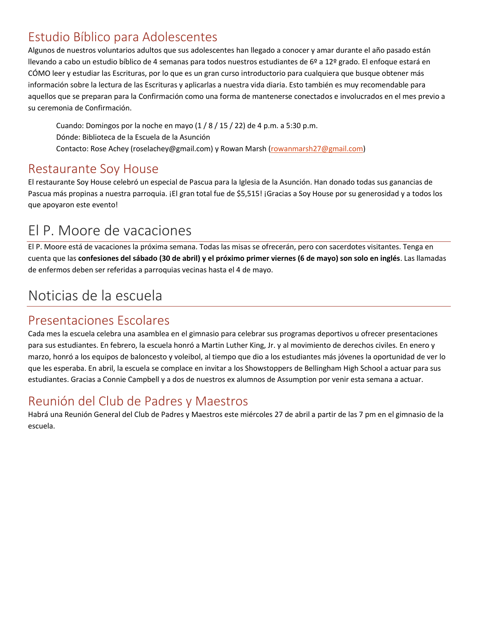## Estudio Bíblico para Adolescentes

Algunos de nuestros voluntarios adultos que sus adolescentes han llegado a conocer y amar durante el año pasado están llevando a cabo un estudio bíblico de 4 semanas para todos nuestros estudiantes de 6º a 12º grado. El enfoque estará en CÓMO leer y estudiar las Escrituras, por lo que es un gran curso introductorio para cualquiera que busque obtener más información sobre la lectura de las Escrituras y aplicarlas a nuestra vida diaria. Esto también es muy recomendable para aquellos que se preparan para la Confirmación como una forma de mantenerse conectados e involucrados en el mes previo a su ceremonia de Confirmación.

Cuando: Domingos por la noche en mayo (1 / 8 / 15 / 22) de 4 p.m. a 5:30 p.m. Dónde: Biblioteca de la Escuela de la Asunción Contacto: Rose Achey (roselachey@gmail.com) y Rowan Marsh [\(rowanmarsh27@gmail.com\)](mailto:rowanmarsh27@gmail.com)

#### Restaurante Soy House

El restaurante Soy House celebró un especial de Pascua para la Iglesia de la Asunción. Han donado todas sus ganancias de Pascua más propinas a nuestra parroquia. ¡El gran total fue de \$5,515! ¡Gracias a Soy House por su generosidad y a todos los que apoyaron este evento!

# El P. Moore de vacaciones

El P. Moore está de vacaciones la próxima semana. Todas las misas se ofrecerán, pero con sacerdotes visitantes. Tenga en cuenta que las **confesiones del sábado (30 de abril) y el próximo primer viernes (6 de mayo) son solo en inglés**. Las llamadas de enfermos deben ser referidas a parroquias vecinas hasta el 4 de mayo.

# Noticias de la escuela

## Presentaciones Escolares

Cada mes la escuela celebra una asamblea en el gimnasio para celebrar sus programas deportivos u ofrecer presentaciones para sus estudiantes. En febrero, la escuela honró a Martin Luther King, Jr. y al movimiento de derechos civiles. En enero y marzo, honró a los equipos de baloncesto y voleibol, al tiempo que dio a los estudiantes más jóvenes la oportunidad de ver lo que les esperaba. En abril, la escuela se complace en invitar a los Showstoppers de Bellingham High School a actuar para sus estudiantes. Gracias a Connie Campbell y a dos de nuestros ex alumnos de Assumption por venir esta semana a actuar.

## Reunión del Club de Padres y Maestros

Habrá una Reunión General del Club de Padres y Maestros este miércoles 27 de abril a partir de las 7 pm en el gimnasio de la escuela.